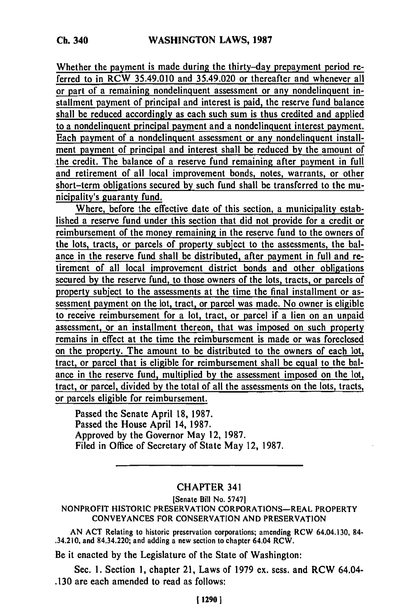Whether the payment is made during the thirty-day prepayment period referred to in RCW 35.49.010 and 35.49.020 or thereafter and whenever all or part of a remaining nondelinquent assessment or any nondelinquent installment payment of principal and interest is paid, the reserve fund balance shall be reduced accordingly as each such sum is thus credited and applied to a nondelinquent principal payment and a nondelinquent interest payment. Each payment of a nondelinquent assessment or any nondelinquent installment payment of principal and interest shall be reduced **by** the amount of the credit. The balance of a reserve fund remaining after payment in full and retirement of all local improvement bonds, notes, warrants, **or** other short-term obligations secured **by** such fund shall be transferred to the municipality's guaranty fund.

Where, before the effective date of this section, a municipality established a reserve fund under this section that did not provide for a credit or reimbursement of the money remaining in the reserve fund to the owners of the lots, tracts, or parcels **of** property subject to the assessments, the balance in the reserve fund shall be distributed, after payment in full and retirement of all local improvement district bonds and other obligations secured **by** the reserve fund, to those owners of the lots, tracts, or parcels of property subject to the assessments at the time the final installment or assessment payment on the lot, tract, or parcel was made. No owner is eligible to receive reimbursement for a lot, tract, or parcel if a lien on an unpaid assessment, or an installment thereon, that was imposed on such property remains in effect at the time the reimbursement is made or was foreclosed on the property. The amount to be distributed to the owners of each lot, tract, or parcel that is eligible for reimbursement shall be equal to the balance in the reserve fund, multiplied **by** the assessment imposed on the lot, tract, or parcel, divided **by** the total of all the assessments on the lots, tracts, or parcels eligible for reimbursement.

Passed the Senate April **18, 1987.** Passed the House April 14, **1987.** Approved **by** the Governor May 12, **1987.** Filed in Office of Secretary of State May 12, **1987.**

## CHAPTER 341

[Senate Bill No. **5747]**

NONPROFIT HISTORIC PRESERVATION CORPORATIONS-REAL PROPERTY **CONVEYANCES** FOR **CONSERVATION AND** PRESERVATION

**AN ACT** Relating to historic preservation corporations; amending RCW 64.04.130, **84-** .34.210, and 84.34.220; and adding a new section to chapter 64.04 RCW.

Be it enacted **by** the Legislature of the State of Washington:

Sec. **1.** Section **1,** chapter 21, Laws of **1979** ex. sess. and RCW 64.04- **.130** are each amended to read as follows: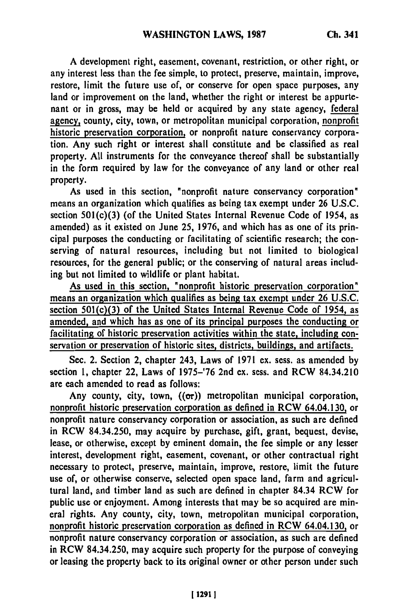**A** development right, easement, covenant, restriction, or other right, or any interest less than the fee simple, to protect, preserve, maintain, improve, restore, limit the future use of, or conserve for open space purposes, any land or improvement on the land, whether the right or interest be appurtenant or in gross, may be held or acquired **by** any state agency, federal agency, county, city, town, or metropolitan municipal corporation, nonprofit historic preservation corporation, or nonprofit nature conservancy corporation. Any such right or interest shall constitute and be classified as real property. **All** instruments for the conveyance thereof shall be substantially in the form required **by** law for the conveyance of any land or other real property.

As used in this section, "nonprofit nature conservancy corporation" means an organization which qualifies as being tax exempt under **26 U.S.C.** section 501(c)(3) (of the United States Internal Revenue Code of 1954, as amended) as it existed on June 25, **1976,** and which has as one of its principal purposes the conducting or facilitating of scientific research; the conserving of natural resources, including but not limited to biological resources, for the general public; or the conserving of natural areas including but not limited to wildlife or plant habitat.

As used in this section, "nonprofit historic preservation corporation" means an organization which qualifies as being tax exempt under **26 U.S.C.** section 501(c)(3) of the United States Internal Revenue Code of 1954, as amended, and which has as one of its principal purposes the conducting or facilitating of historic preservation activities within the state, including conservation or preservation of historic sites, districts, buildings, and artifacts.

Sec. 2. Section 2, chapter 243, Laws of **1971** ex. sess. as amended **by** section **1,** chapter 22, Laws of **1975-'76** 2nd ex. sess. and RCW 84.34.210 are each amended to read as follows:

Any county, city, town,  $((\sigma r))$  metropolitan municipal corporation, nonprofit historic preservation corporation as defined in RCW 64.04.130, or nonprofit nature conservancy corporation or association, as such are defined in RCW 84.34.250, may acquire **by** purchase, gift, grant, bequest, devise, lease, or otherwise, except **by** eminent domain, the fee simple or any lesser interest, development right, easement, covenant, or other contractual right necessary to protect, preserve, maintain, improve, **restore,** limit the future use of, or otherwise conserve, selected open space land, farm and agricultural land, and timber land as such are defined in chapter 84.34 RCW for public use or enjoyment. Among interests that may be so acquired are mineral rights. Any county, city, town, metropolitan municipal corporation, nonprofit historic preservation corporation as defined in RCW 64.04.130, or nonprofit nature conservancy corporation or association, as such are defined in RCW 84.34.250, may acquire such property for the purpose of conveying or leasing the property back to its original owner or other person under such